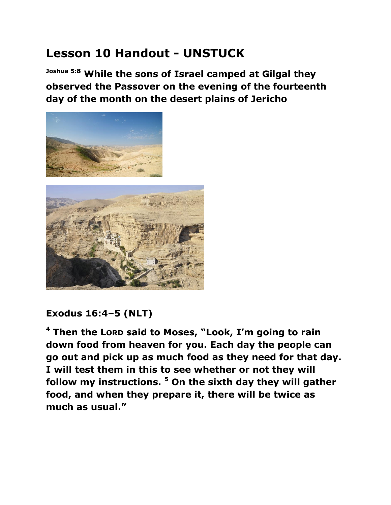## **Lesson 10 Handout - UNSTUCK**

**Joshua 5:8 While the sons of Israel camped at Gilgal they observed the Passover on the evening of the fourteenth day of the month on the desert plains of Jericho**



## **Exodus 16:4–5 (NLT)**

**<sup>4</sup> Then the LORD said to Moses, "Look, I'm going to rain down food from heaven for you. Each day the people can go out and pick up as much food as they need for that day. I will test them in this to see whether or not they will follow my instructions. <sup>5</sup> On the sixth day they will gather food, and when they prepare it, there will be twice as much as usual."**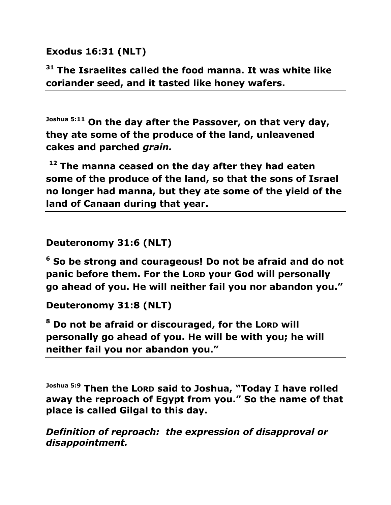**Exodus 16:31 (NLT)** 

**<sup>31</sup> The Israelites called the food manna. It was white like coriander seed, and it tasted like honey wafers.**

**Joshua 5:11 On the day after the Passover, on that very day, they ate some of the produce of the land, unleavened cakes and parched** *grain.*

**<sup>12</sup> The manna ceased on the day after they had eaten some of the produce of the land, so that the sons of Israel no longer had manna, but they ate some of the yield of the land of Canaan during that year.**

**Deuteronomy 31:6 (NLT)** 

**<sup>6</sup> So be strong and courageous! Do not be afraid and do not panic before them. For the LORD your God will personally go ahead of you. He will neither fail you nor abandon you."**

**Deuteronomy 31:8 (NLT)** 

**<sup>8</sup> Do not be afraid or discouraged, for the LORD will personally go ahead of you. He will be with you; he will neither fail you nor abandon you."** 

**Joshua 5:9 Then the LORD said to Joshua, "Today I have rolled away the reproach of Egypt from you." So the name of that place is called Gilgal to this day.**

*Definition of reproach: the expression of disapproval or disappointment.*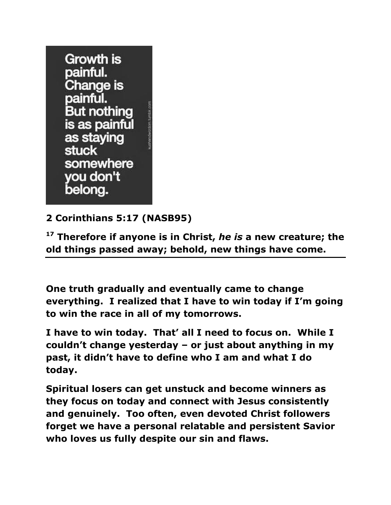

## **2 Corinthians 5:17 (NASB95)**

**<sup>17</sup> Therefore if anyone is in Christ,** *he is* **a new creature; the old things passed away; behold, new things have come.** 

**One truth gradually and eventually came to change everything. I realized that I have to win today if I'm going to win the race in all of my tomorrows.**

**I have to win today. That' all I need to focus on. While I couldn't change yesterday – or just about anything in my past, it didn't have to define who I am and what I do today.** 

**Spiritual losers can get unstuck and become winners as they focus on today and connect with Jesus consistently and genuinely. Too often, even devoted Christ followers forget we have a personal relatable and persistent Savior who loves us fully despite our sin and flaws.**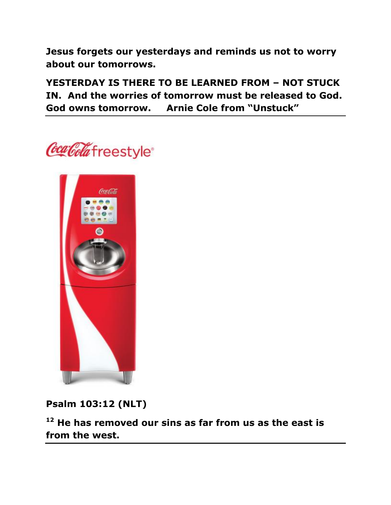**Jesus forgets our yesterdays and reminds us not to worry about our tomorrows.**

**YESTERDAY IS THERE TO BE LEARNED FROM – NOT STUCK IN. And the worries of tomorrow must be released to God. God owns tomorrow. Arnie Cole from "Unstuck"**





**Psalm 103:12 (NLT)** 

**<sup>12</sup> He has removed our sins as far from us as the east is from the west.**